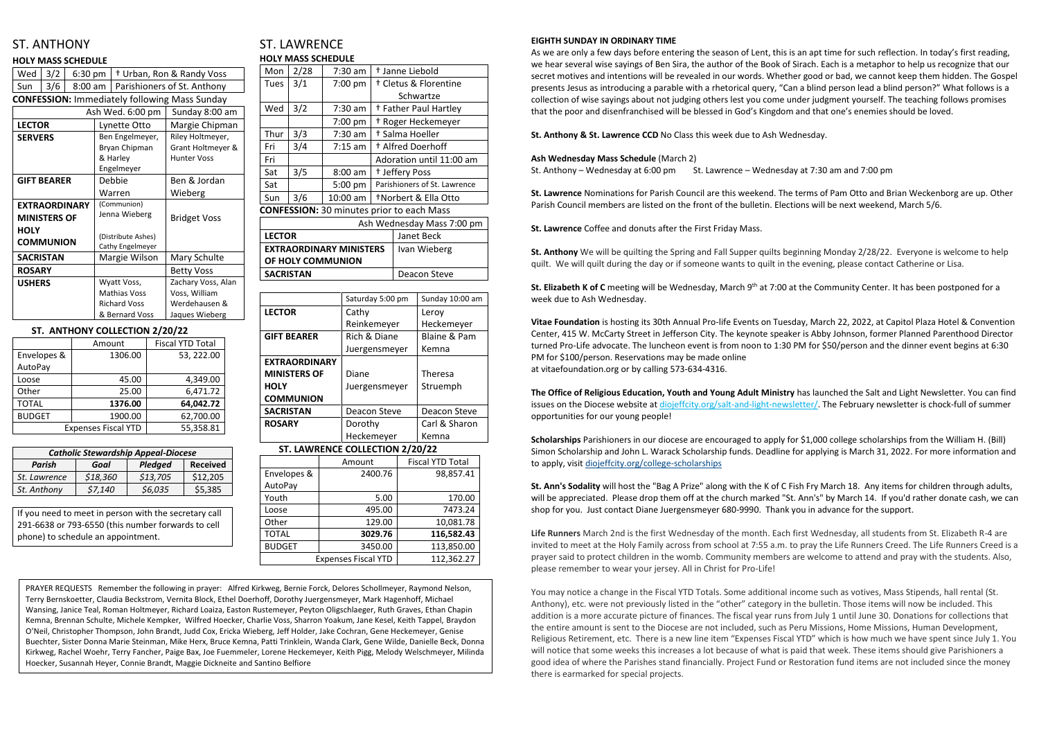# ST. ANTHONY

### **HOLY MASS SCHEDULE**

| Wed                  | 3/2            | $6:30$ pm |                                        |                     | <sup>†</sup> Urban, Ron & Randy Voss                 |  |  |
|----------------------|----------------|-----------|----------------------------------------|---------------------|------------------------------------------------------|--|--|
| Sun                  | 3/6<br>8:00 am |           |                                        |                     | Parishioners of St. Anthony                          |  |  |
|                      |                |           |                                        |                     | <b>CONFESSION: Immediately following Mass Sunday</b> |  |  |
|                      |                |           |                                        | Ash Wed. 6:00 pm    | Sunday 8:00 am                                       |  |  |
| <b>LECTOR</b>        |                |           | Lynette Otto                           |                     | Margie Chipman                                       |  |  |
| <b>SERVERS</b>       |                |           |                                        | Ben Engelmeyer,     | Riley Holtmeyer,                                     |  |  |
|                      |                |           |                                        | Bryan Chipman       | Grant Holtmeyer &                                    |  |  |
|                      |                |           |                                        | & Harley            | <b>Hunter Voss</b>                                   |  |  |
|                      |                |           |                                        | Engelmeyer          |                                                      |  |  |
| <b>GIFT BEARER</b>   |                |           | Debbie                                 |                     | Ben & Jordan                                         |  |  |
|                      |                |           |                                        | Warren              | Wieberg                                              |  |  |
| <b>EXTRAORDINARY</b> |                |           | (Communion)                            |                     |                                                      |  |  |
| <b>MINISTERS OF</b>  |                |           | Jenna Wieberg                          |                     | <b>Bridget Voss</b>                                  |  |  |
| <b>HOLY</b>          |                |           |                                        |                     |                                                      |  |  |
| <b>COMMUNION</b>     |                |           | (Distribute Ashes)<br>Cathy Engelmeyer |                     |                                                      |  |  |
| <b>SACRISTAN</b>     |                |           | Margie Wilson                          |                     | Mary Schulte                                         |  |  |
| <b>ROSARY</b>        |                |           |                                        |                     | <b>Betty Voss</b>                                    |  |  |
| <b>USHERS</b>        |                |           | Wyatt Voss,                            |                     | Zachary Voss, Alan                                   |  |  |
|                      |                |           | <b>Mathias Voss</b>                    |                     | Voss, William                                        |  |  |
|                      |                |           |                                        | <b>Richard Voss</b> | Werdehausen &                                        |  |  |
|                      |                |           |                                        | & Bernard Voss      | Jaques Wieberg                                       |  |  |
|                      |                |           |                                        |                     |                                                      |  |  |

### **ST. ANTHONY COLLECTION 2/20/22**

|               | Amount                     | <b>Fiscal YTD Total</b> |
|---------------|----------------------------|-------------------------|
| Envelopes &   | 1306.00                    | 53, 222.00              |
| AutoPay       |                            |                         |
| Loose         | 45.00                      | 4,349.00                |
| Other         | 25.00                      | 6,471.72                |
| <b>TOTAL</b>  | 1376.00                    | 64,042.72               |
| <b>BUDGET</b> | 1900.00                    | 62,700.00               |
|               | <b>Expenses Fiscal YTD</b> | 55,358.81               |

## ST. LAWRENCE **HOLY MASS SCHEDULE**

| Mon                                              | 2/28 | $7:30$ am                      | <sup>†</sup> Janne Liebold       |                                  |  |
|--------------------------------------------------|------|--------------------------------|----------------------------------|----------------------------------|--|
| Tues                                             | 3/1  | 7:00 pm                        | <sup>†</sup> Cletus & Florentine |                                  |  |
|                                                  |      |                                |                                  | Schwartze                        |  |
| Wed                                              | 3/2  | 7:30 am                        |                                  | <sup>†</sup> Father Paul Hartley |  |
|                                                  |      | 7:00 pm                        |                                  | <sup>†</sup> Roger Heckemeyer    |  |
| Thur                                             | 3/3  | 7:30 am                        |                                  | † Salma Hoeller                  |  |
| Fri                                              | 3/4  | $7:15$ am                      |                                  | <sup>+</sup> Alfred Doerhoff     |  |
| Fri                                              |      | Adoration until 11:00 am       |                                  |                                  |  |
| Sat                                              | 3/5  | $8:00$ am                      | <sup>†</sup> Jeffery Poss        |                                  |  |
| Sat                                              |      | 5:00 pm                        | Parishioners of St. Lawrence     |                                  |  |
| Sun                                              | 3/6  | 10:00 am                       | <b>TNorbert &amp; Ella Otto</b>  |                                  |  |
| <b>CONFESSION: 30 minutes prior to each Mass</b> |      |                                |                                  |                                  |  |
| Ash Wednesday Mass 7:00 pm                       |      |                                |                                  |                                  |  |
| <b>LECTOR</b>                                    |      |                                | Janet Beck                       |                                  |  |
|                                                  |      | <b>EXTRAORDINARY MINISTERS</b> | Ivan Wieberg                     |                                  |  |
| OF HOLY COMMUNION                                |      |                                |                                  |                                  |  |
| <b>SACRISTAN</b>                                 |      |                                | Deacon Steve                     |                                  |  |

|                      | Saturday 5:00 pm | Sunday 10:00 am |  |
|----------------------|------------------|-----------------|--|
| <b>LECTOR</b>        | Cathy            | Leroy           |  |
|                      | Reinkemeyer      | Heckemeyer      |  |
| <b>GIFT BEARER</b>   | Rich & Diane     | Blaine & Pam    |  |
|                      | Juergensmeyer    | Kemna           |  |
| <b>EXTRAORDINARY</b> |                  |                 |  |
| <b>MINISTERS OF</b>  | Diane            | <b>Theresa</b>  |  |
| <b>HOLY</b>          | Juergensmeyer    | Struemph        |  |
| <b>COMMUNION</b>     |                  |                 |  |
| <b>SACRISTAN</b>     | Deacon Steve     | Deacon Steve    |  |
| <b>ROSARY</b>        | Dorothy          | Carl & Sharon   |  |
|                      | Heckemeyer       | Kemna           |  |

### **ST. LAWRENCE COLLECTION 2/20/22**

**St. Elizabeth K of C** meeting will be Wednesday, March 9<sup>th</sup> at 7:00 at the Community Center. It has been postponed for a week due to Ash Wednesday.

|               | Amount                     | <b>Fiscal YTD Total</b> |
|---------------|----------------------------|-------------------------|
| Envelopes &   | 2400.76                    | 98,857.41               |
| AutoPay       |                            |                         |
| Youth         | 5.00                       | 170.00                  |
| Loose         | 495.00                     | 7473.24                 |
| Other         | 129.00                     | 10,081.78               |
| <b>TOTAL</b>  | 3029.76                    | 116,582.43              |
| <b>BUDGET</b> | 3450.00                    | 113,850.00              |
|               | <b>Expenses Fiscal YTD</b> | 112,362.27              |

#### **EIGHTH SUNDAY IN ORDINARY TIME**

As we are only a few days before entering the season of Lent, this is an apt time for such reflection. In today's first reading, we hear several wise sayings of Ben Sira, the author of the Book of Sirach. Each is a metaphor to help us recognize that our secret motives and intentions will be revealed in our words. Whether good or bad, we cannot keep them hidden. The Gospel presents Jesus as introducing a parable with a rhetorical query, "Can a blind person lead a blind person?" What follows is a collection of wise sayings about not judging others lest you come under judgment yourself. The teaching follows promises that the poor and disenfranchised will be blessed in God's Kingdom and that one's enemies should be loved.

**St. Anthony & St. Lawrence CCD** No Class this week due to Ash Wednesday.

#### **Ash Wednesday Mass Schedule** (March 2)

St. Anthony – Wednesday at 6:00 pm St. Lawrence – Wednesday at 7:30 am and 7:00 pm

**St. Lawrence** Nominations for Parish Council are this weekend. The terms of Pam Otto and Brian Weckenborg are up. Other Parish Council members are listed on the front of the bulletin. Elections will be next weekend, March 5/6.

**St. Lawrence** Coffee and donuts after the First Friday Mass.

**St. Anthony** We will be quilting the Spring and Fall Supper quilts beginning Monday 2/28/22. Everyone is welcome to help quilt. We will quilt during the day or if someone wants to quilt in the evening, please contact Catherine or Lisa.

**Vitae Foundation** is hosting its 30th Annual Pro-life Events on Tuesday, March 22, 2022, at Capitol Plaza Hotel & Convention Center, 415 W. McCarty Street in Jefferson City. The keynote speaker is Abby Johnson, former Planned Parenthood Director turned Pro-Life advocate. The luncheon event is from noon to 1:30 PM for \$50/person and the dinner event begins at 6:30 PM for \$100/person. Reservations may be made online at vitaefoundation.org or by calling 573-634-4316.

**The Office of Religious Education, Youth and Young Adult Ministry** has launched the Salt and Light Newsletter. You can find issues on the Diocese website at [diojeffcity.org/salt-and-light-newsletter/.](https://diojeffcity.org/salt-and-light-newsletter/) The February newsletter is chock-full of summer opportunities for our young people!

**Scholarships** Parishioners in our diocese are encouraged to apply for \$1,000 college scholarships from the William H. (Bill) Simon Scholarship and John L. Warack Scholarship funds. Deadline for applying is March 31, 2022. For more information and to apply, visit [diojeffcity.org/college-scholarships](https://diojeffcity.org/college-scholarships/)

**St. Ann's Sodality** will host the "Bag A Prize" along with the K of C Fish Fry March 18. Any items for children through adults, will be appreciated. Please drop them off at the church marked "St. Ann's" by March 14. If you'd rather donate cash, we can shop for you. Just contact Diane Juergensmeyer 680-9990. Thank you in advance for the support.

**Life Runners** March 2nd is the first Wednesday of the month. Each first Wednesday, all students from St. Elizabeth R-4 are invited to meet at the Holy Family across from school at 7:55 a.m. to pray the Life Runners Creed. The Life Runners Creed is a prayer said to protect children in the womb. Community members are welcome to attend and pray with the students. Also, please remember to wear your jersey. All in Christ for Pro-Life!

You may notice a change in the Fiscal YTD Totals. Some additional income such as votives, Mass Stipends, hall rental (St. Anthony), etc. were not previously listed in the "other" category in the bulletin. Those items will now be included. This addition is a more accurate picture of finances. The fiscal year runs from July 1 until June 30. Donations for collections that the entire amount is sent to the Diocese are not included, such as Peru Missions, Home Missions, Human Development, Religious Retirement, etc. There is a new line item "Expenses Fiscal YTD" which is how much we have spent since July 1. You will notice that some weeks this increases a lot because of what is paid that week. These items should give Parishioners a good idea of where the Parishes stand financially. Project Fund or Restoration fund items are not included since the money there is earmarked for special projects.

| <b>Catholic Stewardship Appeal-Diocese</b>   |          |          |          |  |  |
|----------------------------------------------|----------|----------|----------|--|--|
| <b>Received</b><br>Parish<br>Pledged<br>Goal |          |          |          |  |  |
| St. Lawrence                                 | \$18,360 | \$13,705 | \$12,205 |  |  |
| St. Anthony                                  | \$7,140  | \$6,035  | \$5,385  |  |  |

If you need to meet in person with the secretary call 291-6638 or 793-6550 (this number forwards to cell phone) to schedule an appointment.

PRAYER REQUESTS Remember the following in prayer: Alfred Kirkweg, Bernie Forck, Delores Schollmeyer, Raymond Nelson, Terry Bernskoetter, Claudia Beckstrom, Vernita Block, Ethel Doerhoff, Dorothy Juergensmeyer, Mark Hagenhoff, Michael Wansing, Janice Teal, Roman Holtmeyer, Richard Loaiza, Easton Rustemeyer, Peyton Oligschlaeger, Ruth Graves, Ethan Chapin Kemna, Brennan Schulte, Michele Kempker, Wilfred Hoecker, Charlie Voss, Sharron Yoakum, Jane Kesel, Keith Tappel, Braydon O'Neil, Christopher Thompson, John Brandt, Judd Cox, Ericka Wieberg, Jeff Holder, Jake Cochran, Gene Heckemeyer, Genise Buechter, Sister Donna Marie Steinman, Mike Herx, Bruce Kemna, Patti Trinklein, Wanda Clark, Gene Wilde, Danielle Beck, Donna Kirkweg, Rachel Woehr, Terry Fancher, Paige Bax, Joe Fuemmeler, Lorene Heckemeyer, Keith Pigg, Melody Welschmeyer, Milinda Hoecker, Susannah Heyer, Connie Brandt, Maggie Dickneite and Santino Belfiore